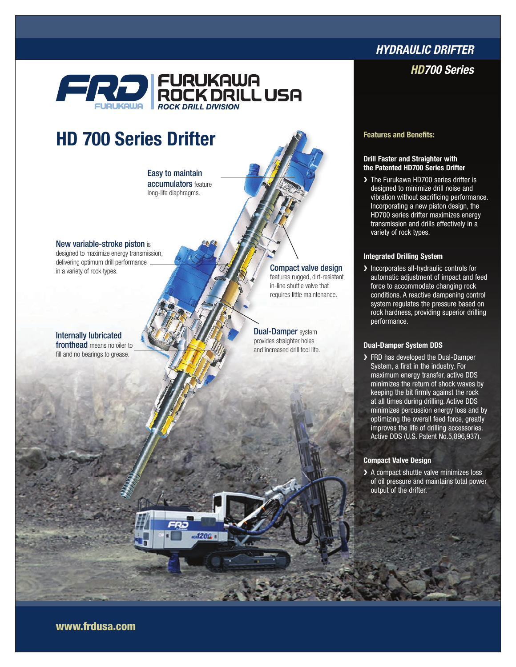# FURUKAWA<br>FIRAN ROCK DRILL USA **ROCK DRILL DIVISION**

# HD 700 Series Drifter

Easy to maintain accumulators feature long-life diaphragms.

New variable-stroke piston is

designed to maximize energy transmission, delivering optimum drill performance in a variety of rock types.

Internally lubricated fronthead means no oiler to

fill and no bearings to grease.

features rugged, dirt-resistant in-line shuttle valve that requires little maintenance.

**Dual-Damper** system provides straighter holes and increased drill tool life.

# *Hydraulic Drifter*

### *HD700 Series*

Features and Benefits:

#### Drill Faster and Straighter with the Patented HD700 Series Drifter

> The Furukawa HD700 series drifter is designed to minimize drill noise and vibration without sacrificing performance. Incorporating a new piston design, the HD700 series drifter maximizes energy transmission and drills effectively in a variety of rock types.

### Integrated Drilling System

> Incorporates all-hydraulic controls for automatic adjustment of impact and feed force to accommodate changing rock conditions. A reactive dampening control system regulates the pressure based on rock hardness, providing superior drilling performance.

#### Dual-Damper System DDS

> FRD has developed the Dual-Damper System, a first in the industry. For maximum energy transfer, active DDS minimizes the return of shock waves by keeping the bit firmly against the rock at all times during drilling. Active DDS minimizes percussion energy loss and by optimizing the overall feed force, greatly improves the life of drilling accessories. Active DDS (U.S. Patent No.5,896,937).

#### Compact Valve Design

> A compact shuttle valve minimizes loss of oil pressure and maintains total power output of the drifter.

www.frdusa.com